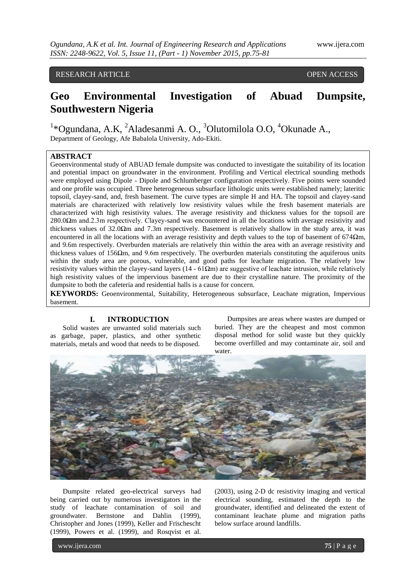# RESEARCH ARTICLE **CONSERVERS** OPEN ACCESS

# **Geo Environmental Investigation of Abuad Dumpsite, Southwestern Nigeria**

<sup>1</sup>\*Ogundana, A.K, <sup>2</sup>Aladesanmi A. O., <sup>3</sup>Olutomilola O.O, <sup>4</sup>Okunade A., Department of Geology, Afe Babalola University, Ado-Ekiti.

# **ABSTRACT**

Geoenvironmental study of ABUAD female dumpsite was conducted to investigate the suitability of its location and potential impact on groundwater in the environment. Profiling and Vertical electrical sounding methods were employed using Dipole - Dipole and Schlumberger configuration respectively. Five points were sounded and one profile was occupied. Three heterogeneous subsurface lithologic units were established namely; lateritic topsoil, clayey-sand, and, fresh basement. The curve types are simple H and HA. The topsoil and clayey-sand materials are characterized with relatively low resistivity values while the fresh basement materials are characterized with high resistivity values. The average resistivity and thickness values for the topsoil are 280.0Ωm and.2.3m respectively. Clayey-sand was encountered in all the locations with average resistivity and thickness values of 32.0 $\Omega$ m and 7.3m respectively. Basement is relatively shallow in the study area, it was encountered in all the locations with an average resistivity and depth values to the top of basement of 674 $\Omega$ m, and 9.6m respectively. Overburden materials are relatively thin within the area with an average resistivity and thickness values of  $156\Omega$ m, and 9.6m respectively. The overburden materials constituting the aquiferous units within the study area are porous, vulnerable, and good paths for leachate migration. The relatively low resistivity values within the clayey-sand layers ( $14 - 61\Omega$ m) are suggestive of leachate intrusion, while relatively high resistivity values of the impervious basement are due to their crystalline nature. The proximity of the dumpsite to both the cafeteria and residential halls is a cause for concern.

**KEYWORDS:** Geoenvironmental, Suitability, Heterogeneous subsurface, Leachate migration, Impervious basement.

# **I. INTRODUCTION**

Solid wastes are unwanted solid materials such as garbage, paper, plastics, and other synthetic materials, metals and wood that needs to be disposed.

Dumpsites are areas where wastes are dumped or buried. They are the cheapest and most common disposal method for solid waste but they quickly become overfilled and may contaminate air, soil and water.



Dumpsite related geo-electrical surveys had being carried out by numerous investigators in the study of leachate contamination of soil and groundwater. Bernstone and Dahlin (1999), Christopher and Jones (1999), Keller and Frischescht (1999), Powers et al. (1999), and Rosqvist et al.

(2003), using 2-D dc resistivity imaging and vertical electrical sounding, estimated the depth to the groundwater, identified and delineated the extent of contaminant leachate plume and migration paths below surface around landfills.

www.ijera.com **75** | P a g e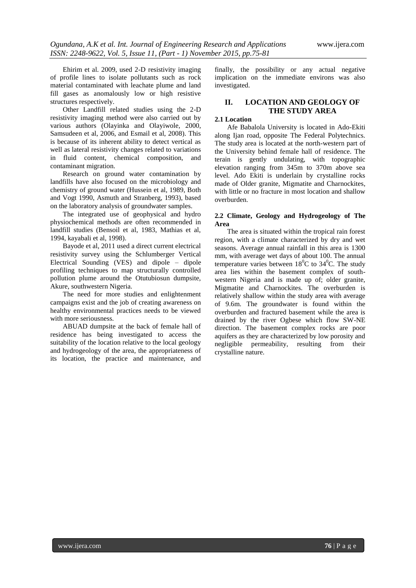Ehirim et al. 2009, used 2-D resistivity imaging of profile lines to isolate pollutants such as rock material contaminated with leachate plume and land fill gases as anomalously low or high resistive structures respectively.

Other Landfill related studies using the 2-D resistivity imaging method were also carried out by various authors (Olayinka and Olayiwole, 2000, Samsudeen et al, 2006, and Esmail et al, 2008). This is because of its inherent ability to detect vertical as well as lateral resistivity changes related to variations in fluid content, chemical composition, and contaminant migration.

Research on ground water contamination by landfills have also focused on the microbiology and chemistry of ground water (Hussein et al, 1989, Both and Vogt 1990, Asmuth and Stranberg, 1993), based on the laboratory analysis of groundwater samples.

The integrated use of geophysical and hydro physiochemical methods are often recommended in landfill studies (Bensoil et al, 1983, Mathias et al, 1994, kayabali et al, 1998).

Bayode et al, 2011 used a direct current electrical resistivity survey using the Schlumberger Vertical Electrical Sounding (VES) and dipole – dipole profiling techniques to map structurally controlled pollution plume around the Otutubiosun dumpsite, Akure, southwestern Nigeria.

The need for more studies and enlightenment campaigns exist and the job of creating awareness on healthy environmental practices needs to be viewed with more seriousness.

ABUAD dumpsite at the back of female hall of residence has being investigated to access the suitability of the location relative to the local geology and hydrogeology of the area, the appropriateness of its location, the practice and maintenance, and

finally, the possibility or any actual negative implication on the immediate environs was also investigated.

# **II. LOCATION AND GEOLOGY OF THE STUDY AREA**

## **2.1 Location**

Afe Babalola University is located in Ado-Ekiti along Ijan road, opposite The Federal Polytechnics. The study area is located at the north-western part of the University behind female hall of residence. The terain is gently undulating, with topographic elevation ranging from 345m to 370m above sea level. Ado Ekiti is underlain by crystalline rocks made of Older granite, Migmatite and Charnockites, with little or no fracture in most location and shallow overburden.

#### **2.2 Climate, Geology and Hydrogeology of The Area**

The area is situated within the tropical rain forest region, with a climate characterized by dry and wet seasons. Average annual rainfall in this area is 1300 mm, with average wet days of about 100. The annual temperature varies between  $18^{\circ}$ C to  $34^{\circ}$ C. The study area lies within the basement complex of southwestern Nigeria and is made up of; older granite, Migmatite and Charnockites. The overburden is relatively shallow within the study area with average of 9.6m. The groundwater is found within the overburden and fractured basement while the area is drained by the river Ogbese which flow SW-NE direction. The basement complex rocks are poor aquifers as they are characterized by low porosity and negligible permeability, resulting from their crystalline nature.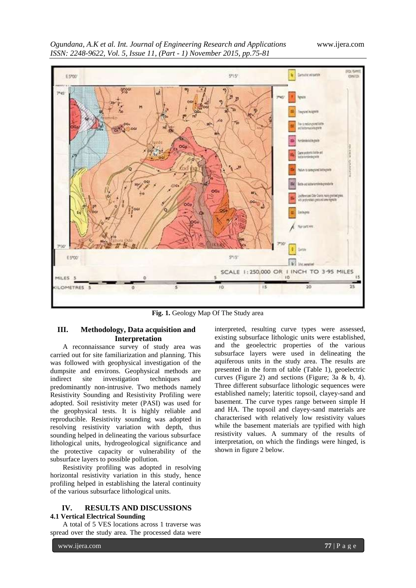*Ogundana, A.K et al. Int. Journal of Engineering Research and Applications* www.ijera.com *ISSN: 2248-9622, Vol. 5, Issue 11, (Part - 1) November 2015, pp.75-81*



Fig. 1. Geology Map Of The Study area

# **III. Methodology, Data acquisition and Interpretation**

A reconnaissance survey of study area was carried out for site familiarization and planning. This was followed with geophysical investigation of the dumpsite and environs. Geophysical methods are indirect site investigation techniques and predominantly non-intrusive. Two methods namely Resistivity Sounding and Resistivity Profiling were adopted. Soil resistivity meter (PASI) was used for the geophysical tests. It is highly reliable and reproducible. Resistivity sounding was adopted in resolving resistivity variation with depth, thus sounding helped in delineating the various subsurface lithological units, hydrogeological significance and the protective capacity or vulnerability of the subsurface layers to possible pollution.

Resistivity profiling was adopted in resolving horizontal resistivity variation in this study, hence profiling helped in establishing the lateral continuity of the various subsurface lithological units.

# **IV. RESULTS AND DISCUSSIONS 4.1 Vertical Electrical Sounding**

A total of 5 VES locations across 1 traverse was spread over the study area. The processed data were

interpreted, resulting curve types were assessed, existing subsurface lithologic units were established, and the geoelectric properties of the various subsurface layers were used in delineating the aquiferous units in the study area. The results are presented in the form of table (Table 1), geoelectric curves (Figure 2) and sections (Figure; 3a & b, 4). Three different subsurface lithologic sequences were established namely; lateritic topsoil, clayey-sand and basement. The curve types range between simple H and HA. The topsoil and clayey-sand materials are characterised with relatively low resistivity values while the basement materials are typified with high resistivity values. A summary of the results of interpretation, on which the findings were hinged, is shown in figure 2 below.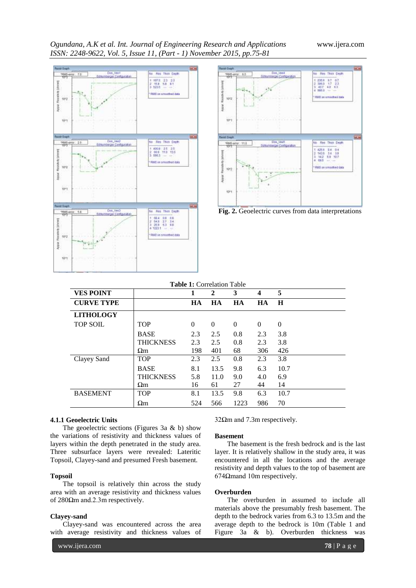*Ogundana, A.K et al. Int. Journal of Engineering Research and Applications* www.ijera.com *ISSN: 2248-9622, Vol. 5, Issue 11, (Part - 1) November 2015, pp.75-81*







| <b>Table 1:</b> Correlation Table |                  |           |              |          |           |          |
|-----------------------------------|------------------|-----------|--------------|----------|-----------|----------|
| <b>VES POINT</b>                  |                  |           | $\mathbf{2}$ | 3        | 4         | 5        |
| <b>CURVE TYPE</b>                 |                  | <b>HA</b> | <b>HA</b>    | HA       | <b>HA</b> | H        |
| <b>LITHOLOGY</b>                  |                  |           |              |          |           |          |
| <b>TOP SOIL</b>                   | <b>TOP</b>       | $\Omega$  | $\Omega$     | $\Omega$ | $\Omega$  | $\Omega$ |
|                                   | <b>BASE</b>      | 2.3       | 2.5          | 0.8      | 2.3       | 3.8      |
|                                   | <b>THICKNESS</b> | 2.3       | 2.5          | 0.8      | 2.3       | 3.8      |
|                                   | $\Omega$ m       | 198       | 401          | 68       | 306       | 426      |
| Clayey Sand                       | <b>TOP</b>       | 2.3       | 2.5          | 0.8      | 2.3       | 3.8      |
|                                   | <b>BASE</b>      | 8.1       | 13.5         | 9.8      | 6.3       | 10.7     |
|                                   | <b>THICKNESS</b> | 5.8       | 11.0         | 9.0      | 4.0       | 6.9      |
|                                   | $\Omega$ m       | 16        | 61           | 27       | 44        | 14       |
| <b>BASEMENT</b>                   | <b>TOP</b>       | 8.1       | 13.5         | 9.8      | 6.3       | 10.7     |
|                                   | $\Omega$ m       | 524       | 566          | 1223     | 986       | 70       |

## **4.1.1 Geoelectric Units**

The geoelectric sections (Figures 3a & b) show the variations of resistivity and thickness values of layers within the depth penetrated in the study area. Three subsurface layers were revealed: Lateritic Topsoil, Clayey-sand and presumed Fresh basement.

#### **Topsoil**

The topsoil is relatively thin across the study area with an average resistivity and thickness values of 280Ωm and.2.3m respectively.

#### **Clayey-sand**

Clayey-sand was encountered across the area with average resistivity and thickness values of 32Ωm and 7.3m respectively.

#### **Basement**

The basement is the fresh bedrock and is the last layer. It is relatively shallow in the study area, it was encountered in all the locations and the average resistivity and depth values to the top of basement are 674Ωmand 10m respectively.

#### **Overburden**

The overburden in assumed to include all materials above the presumably fresh basement. The depth to the bedrock varies from 6.3 to 13.5m and the average depth to the bedrock is 10m (Table 1 and Figure 3a & b). Overburden thickness was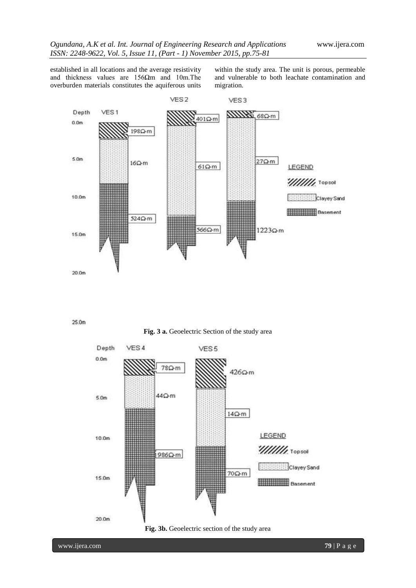established in all locations and the average resistivity and thickness values are  $156\Omega$ m and 10m. The overburden materials constitutes the aquiferous units

within the study area. The unit is porous, permeable and vulnerable to both leachate contamination and migration.



 $25.0<sub>m</sub>$ 



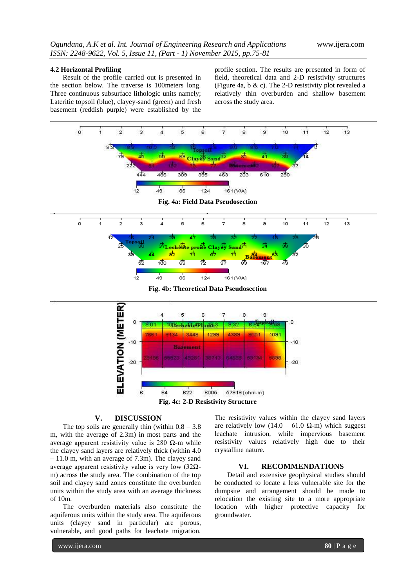#### **4.2 Horizontal Profiling**

Result of the profile carried out is presented in the section below. The traverse is 100meters long. Three continuous subsurface lithologic units namely; Lateritic topsoil (blue), clayey-sand (green) and fresh basement (reddish purple) were established by the

profile section. The results are presented in form of field, theoretical data and 2-D resistivity structures (Figure 4a, b & c). The 2-D resistivity plot revealed a relatively thin overburden and shallow basement across the study area.



# **V. DISCUSSION**

The top soils are generally thin (within  $0.8 - 3.8$ ) m, with the average of 2.3m) in most parts and the average apparent resistivity value is 280 Ω-m while the clayey sand layers are relatively thick (within 4.0 – 11.0 m, with an average of 7.3m). The clayey sand average apparent resistivity value is very low (32Ωm) across the study area. The combination of the top soil and clayey sand zones constitute the overburden units within the study area with an average thickness of 10m.

The overburden materials also constitute the aquiferous units within the study area. The aquiferous units (clayey sand in particular) are porous, vulnerable, and good paths for leachate migration.

The resistivity values within the clayey sand layers are relatively low (14.0 – 61.0  $\Omega$ -m) which suggest leachate intrusion, while impervious basement resistivity values relatively high due to their crystalline nature.

# **VI. RECOMMENDATIONS**

Detail and extensive geophysical studies should be conducted to locate a less vulnerable site for the dumpsite and arrangement should be made to relocation the existing site to a more appropriate location with higher protective capacity for groundwater.